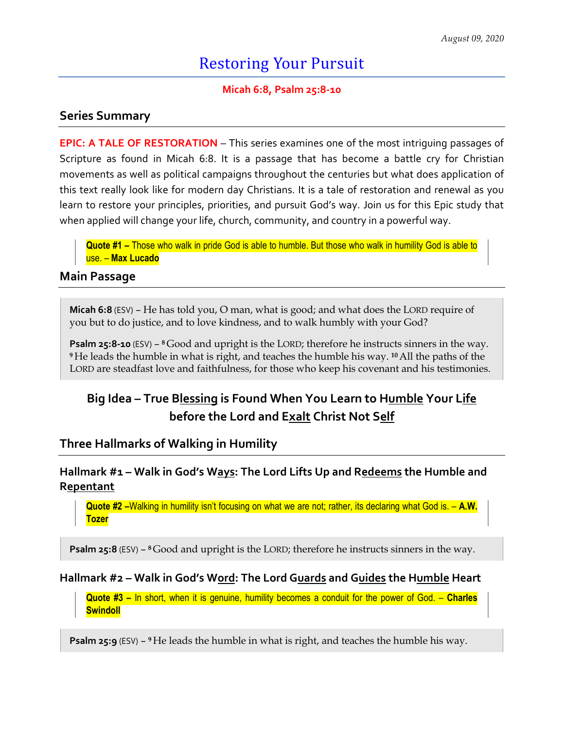# Restoring Your Pursuit

#### **Micah 6:8, Psalm 25:8-10**

#### **Series Summary**

**EPIC: A TALE OF RESTORATION** – This series examines one of the most intriguing passages of Scripture as found in Micah 6:8. It is a passage that has become a battle cry for Christian movements as well as political campaigns throughout the centuries but what does application of this text really look like for modern day Christians. It is a tale of restoration and renewal as you learn to restore your principles, priorities, and pursuit God's way. Join us for this Epic study that when applied will change your life, church, community, and country in a powerful way.

**Quote #1 –** Those who walk in pride God is able to humble. But those who walk in humility God is able to use. – **Max Lucado**

#### **Main Passage**

**Micah 6:8** (ESV) – He has told you, O man, what is good; and what does the LORD require of you but to do justice, and to love kindness, and to walk humbly with your God?

**Psalm 25:8-10** (ESV) – **<sup>8</sup>**Good and upright is the LORD; therefore he instructs sinners in the way. **<sup>9</sup>**He leads the humble in what is right, and teaches the humble his way. **<sup>10</sup>**All the paths of the LORD are steadfast love and faithfulness, for those who keep his covenant and his testimonies.

# **Big Idea – True Blessing is Found When You Learn to Humble Your Life before the Lord and Exalt Christ Not Self**

#### **Three Hallmarks of Walking in Humility**

#### **Hallmark #1 – Walk in God's Ways: The Lord Lifts Up and Redeems the Humble and Repentant**

**Quote #2 –**Walking in humility isn't focusing on what we are not; rather, its declaring what God is. – **A.W. Tozer** 

**Psalm 25:8** (ESV) – **<sup>8</sup>**Good and upright is the LORD; therefore he instructs sinners in the way.

#### **Hallmark #2 – Walk in God's Word: The Lord Guards and Guides the Humble Heart**

**Quote #3 –** In short, when it is genuine, humility becomes a conduit for the power of God. – **Charles Swindoll**

**Psalm 25:9** (ESV) – **<sup>9</sup>**He leads the humble in what is right, and teaches the humble his way.